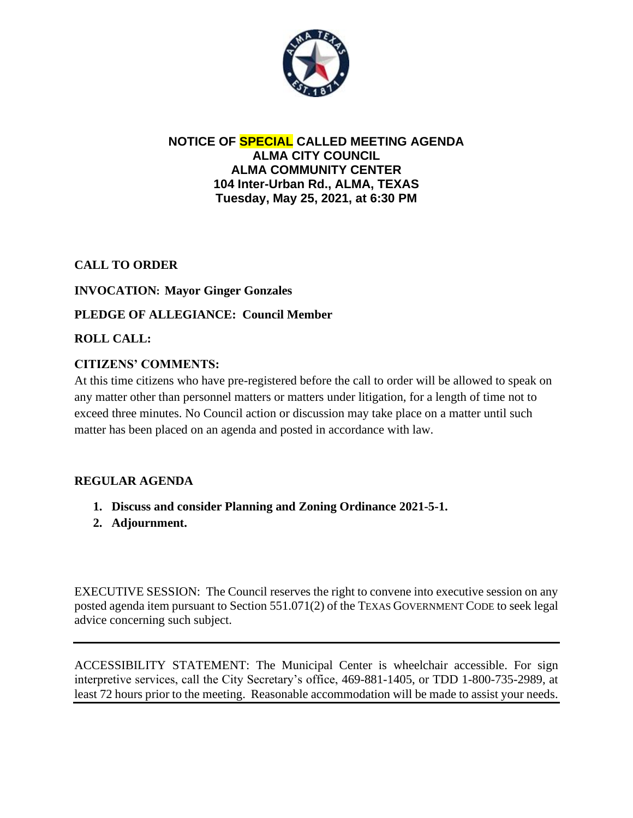

# **NOTICE OF SPECIAL CALLED MEETING AGENDA ALMA CITY COUNCIL ALMA COMMUNITY CENTER 104 Inter-Urban Rd., ALMA, TEXAS Tuesday, May 25, 2021, at 6:30 PM**

**CALL TO ORDER**

# **INVOCATION: Mayor Ginger Gonzales**

### **PLEDGE OF ALLEGIANCE: Council Member**

**ROLL CALL:**

### **CITIZENS' COMMENTS:**

At this time citizens who have pre-registered before the call to order will be allowed to speak on any matter other than personnel matters or matters under litigation, for a length of time not to exceed three minutes. No Council action or discussion may take place on a matter until such matter has been placed on an agenda and posted in accordance with law.

#### **REGULAR AGENDA**

- **1. Discuss and consider Planning and Zoning Ordinance 2021-5-1.**
- **2. Adjournment.**

EXECUTIVE SESSION: The Council reserves the right to convene into executive session on any posted agenda item pursuant to Section 551.071(2) of the TEXAS GOVERNMENT CODE to seek legal advice concerning such subject.

ACCESSIBILITY STATEMENT: The Municipal Center is wheelchair accessible. For sign interpretive services, call the City Secretary's office, 469-881-1405, or TDD 1-800-735-2989, at least 72 hours prior to the meeting. Reasonable accommodation will be made to assist your needs.